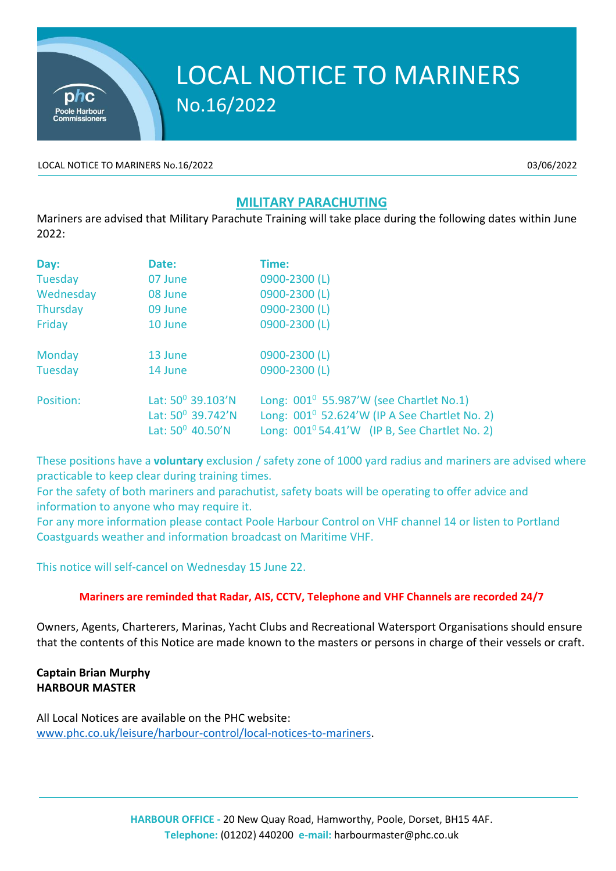

## **MILITARY PARACHUTING**

Mariners are advised that Military Parachute Training will take place during the following dates within June 2022:

| Day:      | Date:                                                               | Time:                                                                                                                                                                |
|-----------|---------------------------------------------------------------------|----------------------------------------------------------------------------------------------------------------------------------------------------------------------|
| Tuesday   | 07 June                                                             | 0900-2300 (L)                                                                                                                                                        |
| Wednesday | 08 June                                                             | 0900-2300 (L)                                                                                                                                                        |
| Thursday  | 09 June                                                             | 0900-2300 (L)                                                                                                                                                        |
| Friday    | 10 June                                                             | 0900-2300 (L)                                                                                                                                                        |
| Monday    | 13 June                                                             | 0900-2300 (L)                                                                                                                                                        |
| Tuesday   | 14 June                                                             | 0900-2300 (L)                                                                                                                                                        |
| Position: | Lat: $50^0$ 39.103'N<br>Lat: $50^0$ 39.742'N<br>Lat: $50^0$ 40.50'N | Long: $001^0$ 55.987'W (see Chartlet No.1)<br>Long: 001 <sup>0</sup> 52.624'W (IP A See Chartlet No. 2)<br>Long: 001 <sup>0</sup> 54.41'W (IP B, See Chartlet No. 2) |

These positions have a **voluntary** exclusion / safety zone of 1000 yard radius and mariners are advised where practicable to keep clear during training times.

For the safety of both mariners and parachutist, safety boats will be operating to offer advice and information to anyone who may require it.

For any more information please contact Poole Harbour Control on VHF channel 14 or listen to Portland Coastguards weather and information broadcast on Maritime VHF.

This notice will self-cancel on Wednesday 15 June 22.

## **Mariners are reminded that Radar, AIS, CCTV, Telephone and VHF Channels are recorded 24/7**

Owners, Agents, Charterers, Marinas, Yacht Clubs and Recreational Watersport Organisations should ensure that the contents of this Notice are made known to the masters or persons in charge of their vessels or craft.

## **Captain Brian Murphy HARBOUR MASTER**

All Local Notices are available on the PHC website: [www.phc.co.uk/leisure/harbour-control/local-notices-to-mariners.](http://www.phc.co.uk/leisure/harbour-control/local-notices-to-mariners)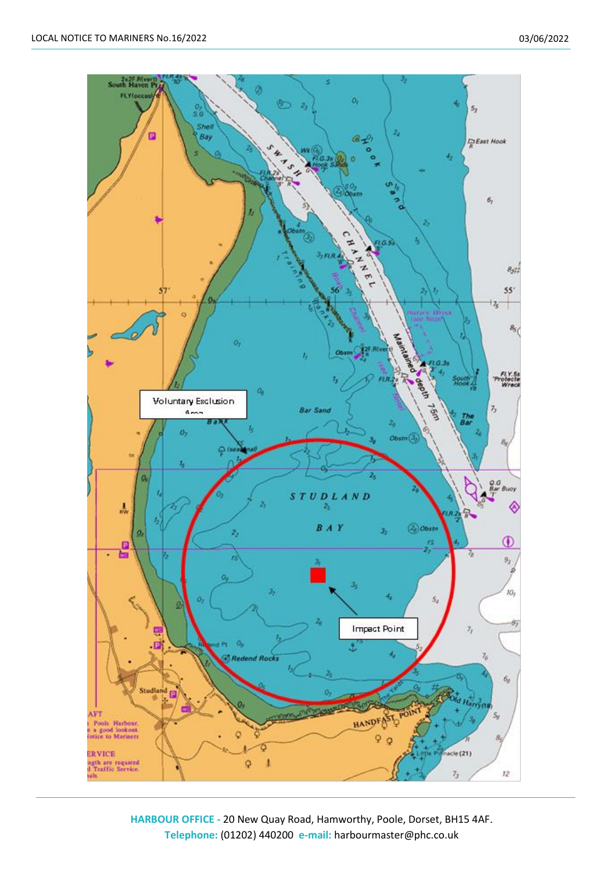

**HARBOUR OFFICE -** 20 New Quay Road, Hamworthy, Poole, Dorset, BH15 4AF. **Telephone:** (01202) 440200 **e-mail:** harbourmaster@phc.co.uk